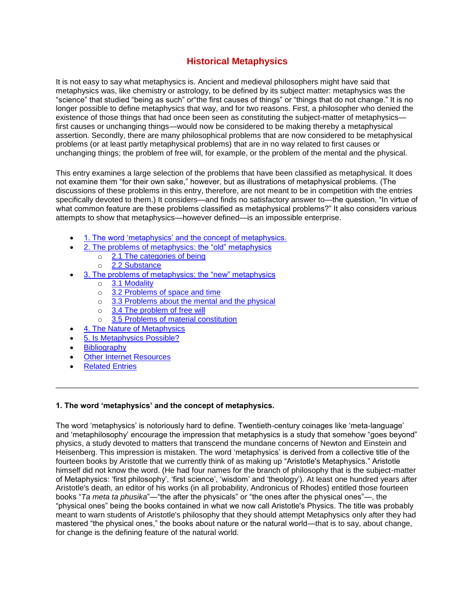# **Historical Metaphysics**

It is not easy to say what metaphysics is. Ancient and medieval philosophers might have said that metaphysics was, like chemistry or astrology, to be defined by its subject matter: metaphysics was the "science" that studied "being as such" or"the first causes of things" or "things that do not change." It is no longer possible to define metaphysics that way, and for two reasons. First, a philosopher who denied the existence of those things that had once been seen as constituting the subject-matter of metaphysics first causes or unchanging things—would now be considered to be making thereby a metaphysical assertion. Secondly, there are many philosophical problems that are now considered to be metaphysical problems (or at least partly metaphysical problems) that are in no way related to first causes or unchanging things; the problem of free will, for example, or the problem of the mental and the physical.

This entry examines a large selection of the problems that have been classified as metaphysical. It does not examine them "for their own sake," however, but as illustrations of metaphysical problems. (The discussions of these problems in this entry, therefore, are not meant to be in competition with the entries specifically devoted to them.) It considers—and finds no satisfactory answer to—the question, "In virtue of what common feature are these problems classified as metaphysical problems?" It also considers various attempts to show that metaphysics—however defined—is an impossible enterprise.

- [1. The word 'metaphysics' and the concept of metaphysics.](http://plato.stanford.edu/entries/metaphysics/#WorMetConMet)
- [2. The problems of metaphysics: the "old" metaphysics](http://plato.stanford.edu/entries/metaphysics/#ProMetOldMet)
	- o [2.1 The categories of being](http://plato.stanford.edu/entries/metaphysics/#CatBei)
		- o [2.2 Substance](http://plato.stanford.edu/entries/metaphysics/#Sub)
- [3. The problems of metaphysics: the "new" metaphysics](http://plato.stanford.edu/entries/metaphysics/#ProMetNewMet)
	- o [3.1 Modality](http://plato.stanford.edu/entries/metaphysics/#Mod)
	- o [3.2 Problems of space and time](http://plato.stanford.edu/entries/metaphysics/#ProSpaTim)
	- o [3.3 Problems about the mental and the physical](http://plato.stanford.edu/entries/metaphysics/#ProAboMenPhy)
	- o [3.4 The problem of free will](http://plato.stanford.edu/entries/metaphysics/#ProFreWil)
	- o [3.5 Problems of material constitution](http://plato.stanford.edu/entries/metaphysics/#ProMatCon)
	- [4. The Nature of Metaphysics](http://plato.stanford.edu/entries/metaphysics/#NatMet)
- [5. Is Metaphysics Possible?](http://plato.stanford.edu/entries/metaphysics/#MetPos)
- **[Bibliography](http://plato.stanford.edu/entries/metaphysics/#Bib)**
- [Other Internet Resources](http://plato.stanford.edu/entries/metaphysics/#Oth)
- [Related Entries](http://plato.stanford.edu/entries/metaphysics/#Rel)

## **1. The word 'metaphysics' and the concept of metaphysics.**

The word 'metaphysics' is notoriously hard to define. Twentieth-century coinages like 'meta-language' and 'metaphilosophy' encourage the impression that metaphysics is a study that somehow "goes beyond" physics, a study devoted to matters that transcend the mundane concerns of Newton and Einstein and Heisenberg. This impression is mistaken. The word 'metaphysics' is derived from a collective title of the fourteen books by Aristotle that we currently think of as making up "Aristotle's Metaphysics." Aristotle himself did not know the word. (He had four names for the branch of philosophy that is the subject-matter of Metaphysics: 'first philosophy', 'first science', 'wisdom' and 'theology'). At least one hundred years after Aristotle's death, an editor of his works (in all probability, Andronicus of Rhodes) entitled those fourteen books "*Ta meta ta phusika*"—"the after the physicals" or "the ones after the physical ones"—, the "physical ones" being the books contained in what we now call Aristotle's Physics. The title was probably meant to warn students of Aristotle's philosophy that they should attempt Metaphysics only after they had mastered "the physical ones," the books about nature or the natural world—that is to say, about change, for change is the defining feature of the natural world.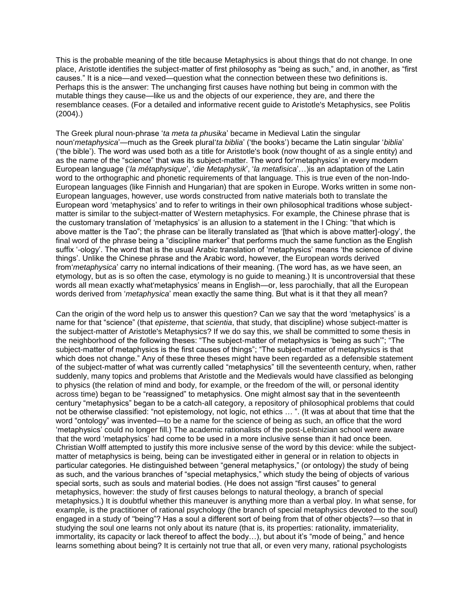This is the probable meaning of the title because Metaphysics is about things that do not change. In one place, Aristotle identifies the subject-matter of first philosophy as "being as such," and, in another, as "first causes." It is a nice—and vexed—question what the connection between these two definitions is. Perhaps this is the answer: The unchanging first causes have nothing but being in common with the mutable things they cause—like us and the objects of our experience, they are, and there the resemblance ceases. (For a detailed and informative recent guide to Aristotle's Metaphysics, see Politis (2004).)

The Greek plural noun-phrase '*ta meta ta phusika*' became in Medieval Latin the singular noun'*metaphysica*'—much as the Greek plural'*ta biblia*' ('the books') became the Latin singular '*biblia*' ('the bible'). The word was used both as a title for Aristotle's book (now thought of as a single entity) and as the name of the "science" that was its subject-matter. The word for'metaphysics' in every modern European language ('*la métaphysique*', '*die Metaphysik*', '*la metafisica*'…)is an adaptation of the Latin word to the orthographic and phonetic requirements of that language. This is true even of the non-Indo-European languages (like Finnish and Hungarian) that are spoken in Europe. Works written in some non-European languages, however, use words constructed from native materials both to translate the European word 'metaphysics' and to refer to writings in their own philosophical traditions whose subjectmatter is similar to the subject-matter of Western metaphysics. For example, the Chinese phrase that is the customary translation of 'metaphysics' is an allusion to a statement in the I Ching: "that which is above matter is the Tao"; the phrase can be literally translated as '[that which is above matter]-ology', the final word of the phrase being a "discipline marker" that performs much the same function as the English suffix '-ology'. The word that is the usual Arabic translation of 'metaphysics' means 'the science of divine things'. Unlike the Chinese phrase and the Arabic word, however, the European words derived from'*metaphysica*' carry no internal indications of their meaning. (The word has, as we have seen, an etymology, but as is so often the case, etymology is no guide to meaning.) It is uncontroversial that these words all mean exactly what'metaphysics' means in English—or, less parochially, that all the European words derived from '*metaphysica*' mean exactly the same thing. But what is it that they all mean?

Can the origin of the word help us to answer this question? Can we say that the word 'metaphysics' is a name for that "science" (that *episteme*, that *scientia*, that study, that discipline) whose subject-matter is the subject-matter of Aristotle's Metaphysics? If we do say this, we shall be committed to some thesis in the neighborhood of the following theses: "The subject-matter of metaphysics is 'being as such'"; "The subject-matter of metaphysics is the first causes of things"; "The subject-matter of metaphysics is that which does not change." Any of these three theses might have been regarded as a defensible statement of the subject-matter of what was currently called "metaphysics" till the seventeenth century, when, rather suddenly, many topics and problems that Aristotle and the Medievals would have classified as belonging to physics (the relation of mind and body, for example, or the freedom of the will, or personal identity across time) began to be "reassigned" to metaphysics. One might almost say that in the seventeenth century "metaphysics" began to be a catch-all category, a repository of philosophical problems that could not be otherwise classified: "not epistemology, not logic, not ethics … ". (It was at about that time that the word "ontology" was invented—to be a name for the science of being as such, an office that the word 'metaphysics' could no longer fill.) The academic rationalists of the post-Leibnizian school were aware that the word 'metaphysics' had come to be used in a more inclusive sense than it had once been. Christian Wolff attempted to justify this more inclusive sense of the word by this device: while the subjectmatter of metaphysics is being, being can be investigated either in general or in relation to objects in particular categories. He distinguished between "general metaphysics," (or ontology) the study of being as such, and the various branches of "special metaphysics," which study the being of objects of various special sorts, such as souls and material bodies. (He does not assign "first causes" to general metaphysics, however: the study of first causes belongs to natural theology, a branch of special metaphysics.) It is doubtful whether this maneuver is anything more than a verbal ploy. In what sense, for example, is the practitioner of rational psychology (the branch of special metaphysics devoted to the soul) engaged in a study of "being"? Has a soul a different sort of being from that of other objects?—so that in studying the soul one learns not only about its nature (that is, its properties: rationality, immateriality, immortality, its capacity or lack thereof to affect the body…), but about it's "mode of being," and hence learns something about being? It is certainly not true that all, or even very many, rational psychologists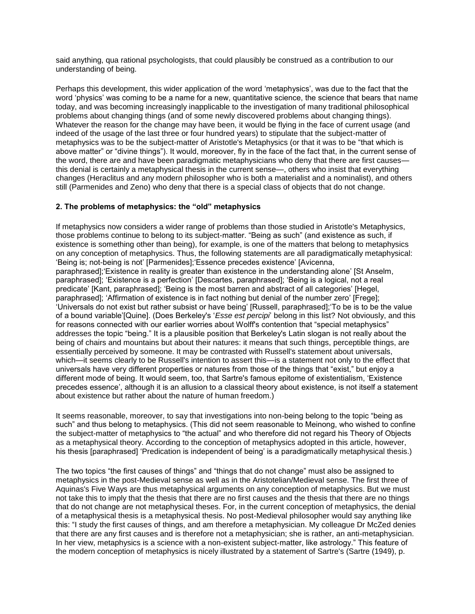said anything, qua rational psychologists, that could plausibly be construed as a contribution to our understanding of being.

Perhaps this development, this wider application of the word 'metaphysics', was due to the fact that the word 'physics' was coming to be a name for a new, quantitative science, the science that bears that name today, and was becoming increasingly inapplicable to the investigation of many traditional philosophical problems about changing things (and of some newly discovered problems about changing things). Whatever the reason for the change may have been, it would be flying in the face of current usage (and indeed of the usage of the last three or four hundred years) to stipulate that the subject-matter of metaphysics was to be the subject-matter of Aristotle's Metaphysics (or that it was to be "that which is above matter" or "divine things"). It would, moreover, fly in the face of the fact that, in the current sense of the word, there are and have been paradigmatic metaphysicians who deny that there are first causes this denial is certainly a metaphysical thesis in the current sense—, others who insist that everything changes (Heraclitus and any modern philosopher who is both a materialist and a nominalist), and others still (Parmenides and Zeno) who deny that there is a special class of objects that do not change.

## **2. The problems of metaphysics: the "old" metaphysics**

If metaphysics now considers a wider range of problems than those studied in Aristotle's Metaphysics, those problems continue to belong to its subject-matter. "Being as such" (and existence as such, if existence is something other than being), for example, is one of the matters that belong to metaphysics on any conception of metaphysics. Thus, the following statements are all paradigmatically metaphysical: 'Being is; not-being is not' [Parmenides];'Essence precedes existence' [Avicenna, paraphrased];'Existence in reality is greater than existence in the understanding alone' [St Anselm, paraphrased]; 'Existence is a perfection' [Descartes, paraphrased]; 'Being is a logical, not a real predicate' [Kant, paraphrased]; 'Being is the most barren and abstract of all categories' [Hegel, paraphrased]; 'Affirmation of existence is in fact nothing but denial of the number zero' [Frege]; 'Universals do not exist but rather subsist or have being' [Russell, paraphrased];'To be is to be the value of a bound variable'[Quine]. (Does Berkeley's '*Esse est percipi*' belong in this list? Not obviously, and this for reasons connected with our earlier worries about Wolff's contention that "special metaphysics" addresses the topic "being." It is a plausible position that Berkeley's Latin slogan is not really about the being of chairs and mountains but about their natures: it means that such things, perceptible things, are essentially perceived by someone. It may be contrasted with Russell's statement about universals, which—it seems clearly to be Russell's intention to assert this—is a statement not only to the effect that universals have very different properties or natures from those of the things that "exist," but enjoy a different mode of being. It would seem, too, that Sartre's famous epitome of existentialism, 'Existence precedes essence', although it is an allusion to a classical theory about existence, is not itself a statement about existence but rather about the nature of human freedom.)

It seems reasonable, moreover, to say that investigations into non-being belong to the topic "being as such" and thus belong to metaphysics. (This did not seem reasonable to Meinong, who wished to confine the subject-matter of metaphysics to "the actual" and who therefore did not regard his Theory of Objects as a metaphysical theory. According to the conception of metaphysics adopted in this article, however, his thesis [paraphrased] 'Predication is independent of being' is a paradigmatically metaphysical thesis.)

The two topics "the first causes of things" and "things that do not change" must also be assigned to metaphysics in the post-Medieval sense as well as in the Aristotelian/Medieval sense. The first three of Aquinas's Five Ways are thus metaphysical arguments on any conception of metaphysics. But we must not take this to imply that the thesis that there are no first causes and the thesis that there are no things that do not change are not metaphysical theses. For, in the current conception of metaphysics, the denial of a metaphysical thesis is a metaphysical thesis. No post-Medieval philosopher would say anything like this: "I study the first causes of things, and am therefore a metaphysician. My colleague Dr McZed denies that there are any first causes and is therefore not a metaphysician; she is rather, an anti-metaphysician. In her view, metaphysics is a science with a non-existent subject-matter, like astrology." This feature of the modern conception of metaphysics is nicely illustrated by a statement of Sartre's (Sartre (1949), p.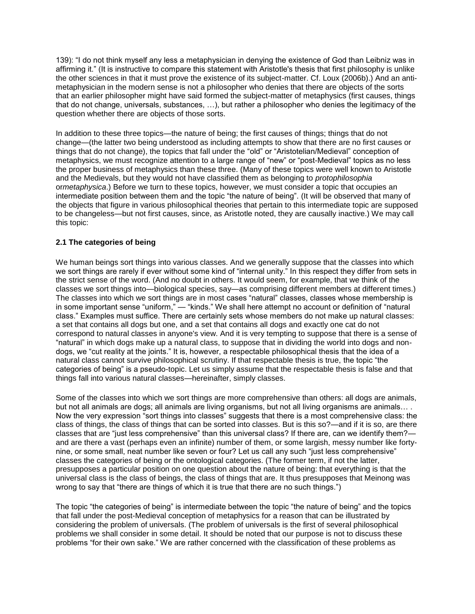139): "I do not think myself any less a metaphysician in denying the existence of God than Leibniz was in affirming it." (It is instructive to compare this statement with Aristotle's thesis that first philosophy is unlike the other sciences in that it must prove the existence of its subject-matter. Cf. Loux (2006b).) And an antimetaphysician in the modern sense is not a philosopher who denies that there are objects of the sorts that an earlier philosopher might have said formed the subject-matter of metaphysics (first causes, things that do not change, universals, substances, …), but rather a philosopher who denies the legitimacy of the question whether there are objects of those sorts.

In addition to these three topics—the nature of being; the first causes of things; things that do not change—(the latter two being understood as including attempts to show that there are no first causes or things that do not change), the topics that fall under the "old" or "Aristotelian/Medieval" conception of metaphysics, we must recognize attention to a large range of "new" or "post-Medieval" topics as no less the proper business of metaphysics than these three. (Many of these topics were well known to Aristotle and the Medievals, but they would not have classified them as belonging to *protophilosophia* or*metaphysica*.) Before we turn to these topics, however, we must consider a topic that occupies an intermediate position between them and the topic "the nature of being". (It will be observed that many of the objects that figure in various philosophical theories that pertain to this intermediate topic are supposed to be changeless—but not first causes, since, as Aristotle noted, they are causally inactive.) We may call this topic:

## **2.1 The categories of being**

We human beings sort things into various classes. And we generally suppose that the classes into which we sort things are rarely if ever without some kind of "internal unity." In this respect they differ from sets in the strict sense of the word. (And no doubt in others. It would seem, for example, that we think of the classes we sort things into—biological species, say—as comprising different members at different times.) The classes into which we sort things are in most cases "natural" classes, classes whose membership is in some important sense "uniform," — "kinds." We shall here attempt no account or definition of "natural class." Examples must suffice. There are certainly sets whose members do not make up natural classes: a set that contains all dogs but one, and a set that contains all dogs and exactly one cat do not correspond to natural classes in anyone's view. And it is very tempting to suppose that there is a sense of "natural" in which dogs make up a natural class, to suppose that in dividing the world into dogs and nondogs, we "cut reality at the joints." It is, however, a respectable philosophical thesis that the idea of a natural class cannot survive philosophical scrutiny. If that respectable thesis is true, the topic "the categories of being" is a pseudo-topic. Let us simply assume that the respectable thesis is false and that things fall into various natural classes—hereinafter, simply classes.

Some of the classes into which we sort things are more comprehensive than others: all dogs are animals, but not all animals are dogs; all animals are living organisms, but not all living organisms are animals… . Now the very expression "sort things into classes" suggests that there is a most comprehensive class: the class of things, the class of things that can be sorted into classes. But is this so?—and if it is so, are there classes that are "just less comprehensive" than this universal class? If there are, can we identify them? and are there a vast (perhaps even an infinite) number of them, or some largish, messy number like fortynine, or some small, neat number like seven or four? Let us call any such "just less comprehensive" classes the categories of being or the ontological categories. (The former term, if not the latter, presupposes a particular position on one question about the nature of being: that everything is that the universal class is the class of beings, the class of things that are. It thus presupposes that Meinong was wrong to say that "there are things of which it is true that there are no such things.")

The topic "the categories of being" is intermediate between the topic "the nature of being" and the topics that fall under the post-Medieval conception of metaphysics for a reason that can be illustrated by considering the problem of universals. (The problem of universals is the first of several philosophical problems we shall consider in some detail. It should be noted that our purpose is not to discuss these problems "for their own sake." We are rather concerned with the classification of these problems as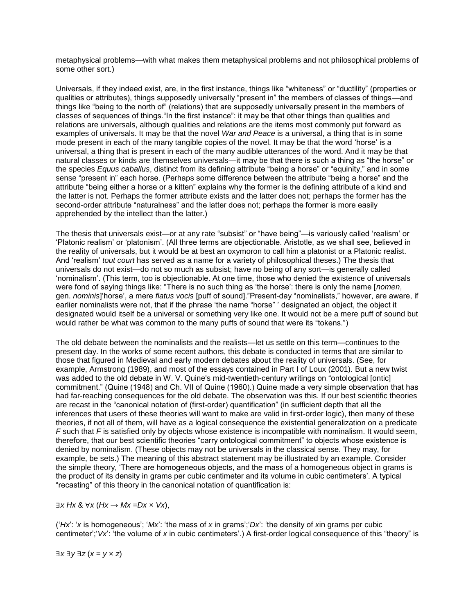metaphysical problems—with what makes them metaphysical problems and not philosophical problems of some other sort.)

Universals, if they indeed exist, are, in the first instance, things like "whiteness" or "ductility" (properties or qualities or attributes), things supposedly universally "present in" the members of classes of things—and things like "being to the north of" (relations) that are supposedly universally present in the members of classes of sequences of things."In the first instance": it may be that other things than qualities and relations are universals, although qualities and relations are the items most commonly put forward as examples of universals. It may be that the novel *War and Peace* is a universal, a thing that is in some mode present in each of the many tangible copies of the novel. It may be that the word 'horse' is a universal, a thing that is present in each of the many audible utterances of the word. And it may be that natural classes or kinds are themselves universals—it may be that there is such a thing as "the horse" or the species *Equus caballus*, distinct from its defining attribute "being a horse" or "equinity," and in some sense "present in" each horse. (Perhaps some difference between the attribute "being a horse" and the attribute "being either a horse or a kitten" explains why the former is the defining attribute of a kind and the latter is not. Perhaps the former attribute exists and the latter does not; perhaps the former has the second-order attribute "naturalness" and the latter does not; perhaps the former is more easily apprehended by the intellect than the latter.)

The thesis that universals exist—or at any rate "subsist" or "have being"—is variously called 'realism' or 'Platonic realism' or 'platonism'. (All three terms are objectionable. Aristotle, as we shall see, believed in the reality of universals, but it would be at best an oxymoron to call him a platonist or a Platonic realist. And 'realism' *tout court* has served as a name for a variety of philosophical theses.) The thesis that universals do not exist—do not so much as subsist; have no being of any sort—is generally called 'nominalism'. (This term, too is objectionable. At one time, those who denied the existence of universals were fond of saying things like: "There is no such thing as 'the horse': there is only the name [*nomen*, gen. *nominis*]'horse', a mere *flatus vocis* [puff of sound]."Present-day "nominalists," however, are aware, if earlier nominalists were not, that if the phrase 'the name "horse" ' designated an object, the object it designated would itself be a universal or something very like one. It would not be a mere puff of sound but would rather be what was common to the many puffs of sound that were its "tokens.")

The old debate between the nominalists and the realists—let us settle on this term—continues to the present day. In the works of some recent authors, this debate is conducted in terms that are similar to those that figured in Medieval and early modern debates about the reality of universals. (See, for example, Armstrong (1989), and most of the essays contained in Part I of Loux (2001). But a new twist was added to the old debate in W. V. Quine's mid-twentieth-century writings on "ontological [ontic] commitment." (Quine (1948) and Ch. VII of Quine (1960).) Quine made a very simple observation that has had far-reaching consequences for the old debate. The observation was this. If our best scientific theories are recast in the "canonical notation of (first-order) quantification" (in sufficient depth that all the inferences that users of these theories will want to make are valid in first-order logic), then many of these theories, if not all of them, will have as a logical consequence the existential generalization on a predicate *F* such that *F* is satisfied only by objects whose existence is incompatible with nominalism. It would seem, therefore, that our best scientific theories "carry ontological commitment" to objects whose existence is denied by nominalism. (These objects may not be universals in the classical sense. They may, for example, be sets.) The meaning of this abstract statement may be illustrated by an example. Consider the simple theory, 'There are homogeneous objects, and the mass of a homogeneous object in grams is the product of its density in grams per cubic centimeter and its volume in cubic centimeters'. A typical "recasting" of this theory in the canonical notation of quantification is:

∃*x Hx* & ∀*x* (*Hx* → *Mx* =*Dx* × *Vx*),

('*Hx*': '*x* is homogeneous'; '*Mx*': 'the mass of *x* in grams';'*Dx*': 'the density of *x*in grams per cubic centimeter';'*Vx*': 'the volume of *x* in cubic centimeters'.) A first-order logical consequence of this "theory" is

∃*x* ∃*y* ∃*z* (*x* = *y* × *z*)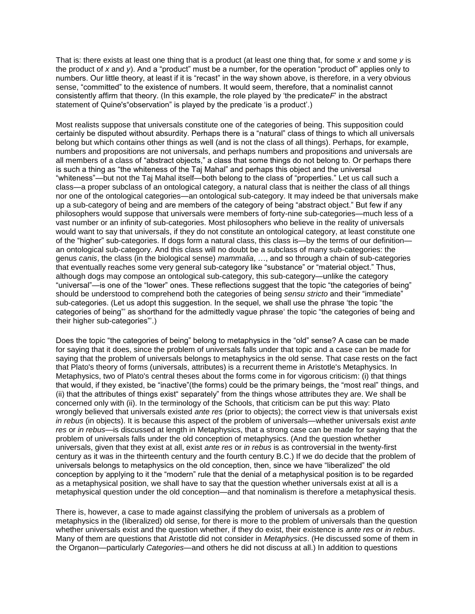That is: there exists at least one thing that is a product (at least one thing that, for some *x* and some *y* is the product of *x* and *y*). And a "product" must be a number, for the operation "product of" applies only to numbers. Our little theory, at least if it is "recast" in the way shown above, is therefore, in a very obvious sense, "committed" to the existence of numbers. It would seem, therefore, that a nominalist cannot consistently affirm that theory. (In this example, the role played by 'the predicate*F*' in the abstract statement of Quine's"observation" is played by the predicate 'is a product'.)

Most realists suppose that universals constitute one of the categories of being. This supposition could certainly be disputed without absurdity. Perhaps there is a "natural" class of things to which all universals belong but which contains other things as well (and is not the class of all things). Perhaps, for example, numbers and propositions are not universals, and perhaps numbers and propositions and universals are all members of a class of "abstract objects," a class that some things do not belong to. Or perhaps there is such a thing as "the whiteness of the Taj Mahal" and perhaps this object and the universal "whiteness"—but not the Taj Mahal itself—both belong to the class of "properties." Let us call such a class—a proper subclass of an ontological category, a natural class that is neither the class of all things nor one of the ontological categories—an ontological sub-category. It may indeed be that universals make up a sub-category of being and are members of the category of being "abstract object." But few if any philosophers would suppose that universals were members of forty-nine sub-categories—much less of a vast number or an infinity of sub-categories. Most philosophers who believe in the reality of universals would want to say that universals, if they do not constitute an ontological category, at least constitute one of the "higher" sub-categories. If dogs form a natural class, this class is—by the terms of our definition an ontological sub-category. And this class will no doubt be a subclass of many sub-categories: the genus *canis*, the class (in the biological sense) *mammalia*, …, and so through a chain of sub-categories that eventually reaches some very general sub-category like "substance" or "material object." Thus, although dogs may compose an ontological sub-category, this sub-category—unlike the category "universal"—is one of the "lower" ones. These reflections suggest that the topic "the categories of being" should be understood to comprehend both the categories of being *sensu stricto* and their "immediate" sub-categories. (Let us adopt this suggestion. In the sequel, we shall use the phrase 'the topic "the categories of being"' as shorthand for the admittedly vague phrase' the topic "the categories of being and their higher sub-categories"'.)

Does the topic "the categories of being" belong to metaphysics in the "old" sense? A case can be made for saying that it does, since the problem of universals falls under that topic and a case can be made for saying that the problem of universals belongs to metaphysics in the old sense. That case rests on the fact that Plato's theory of forms (universals, attributes) is a recurrent theme in Aristotle's Metaphysics. In Metaphysics, two of Plato's central theses about the forms come in for vigorous criticism: (i) that things that would, if they existed, be "inactive"(the forms) could be the primary beings, the "most real" things, and (ii) that the attributes of things exist" separately" from the things whose attributes they are. We shall be concerned only with (ii). In the terminology of the Schools, that criticism can be put this way: Plato wrongly believed that universals existed *ante res* (prior to objects); the correct view is that universals exist *in rebus* (in objects). It is because this aspect of the problem of universals—whether universals exist *ante res* or *in rebus*—is discussed at length in Metaphysics, that a strong case can be made for saying that the problem of universals falls under the old conception of metaphysics. (And the question whether universals, given that they exist at all, exist *ante res* or *in rebus* is as controversial in the twenty-first century as it was in the thirteenth century and the fourth century B.C.) If we do decide that the problem of universals belongs to metaphysics on the old conception, then, since we have "liberalized" the old conception by applying to it the "modern" rule that the denial of a metaphysical position is to be regarded as a metaphysical position, we shall have to say that the question whether universals exist at all is a metaphysical question under the old conception—and that nominalism is therefore a metaphysical thesis.

There is, however, a case to made against classifying the problem of universals as a problem of metaphysics in the (liberalized) old sense, for there is more to the problem of universals than the question whether universals exist and the question whether, if they do exist, their existence is *ante res* or *in rebus*. Many of them are questions that Aristotle did not consider in *Metaphysics*. (He discussed some of them in the Organon—particularly *Categories*—and others he did not discuss at all.) In addition to questions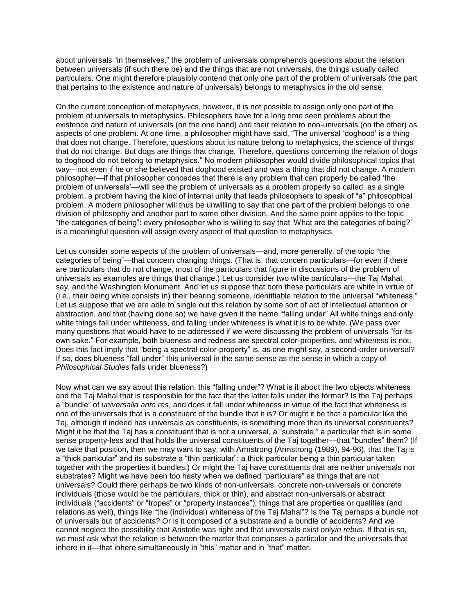about universals "in themselves," the problem of universals comprehends questions about the relation between universals (if such there be) and the things that are not universals, the things usually called particulars. One might therefore plausibly contend that only one part of the problem of universals (the part that pertains to the existence and nature of universals) belongs to metaphysics in the old sense.

On the current conception of metaphysics, however, it is not possible to assign only one part of the problem of universals to metaphysics. Philosophers have for a long time seen problems about the existence and nature of universals (on the one hand) and their relation to non-universals (on the other) as aspects of one problem. At one time, a philosopher might have said, "The universal 'doghood' is a thing that does not change. Therefore, questions about its nature belong to metaphysics, the science of things that do not change. But dogs are things that change. Therefore, questions concerning the relation of dogs to doghood do not belong to metaphysics." No modern philosopher would divide philosophical topics that way—not even if he or she believed that doghood existed and was a thing that did not change. A modern philosopher—if that philosopher concedes that there is any problem that can properly be called 'the problem of universals'—will see the problem of universals as a problem properly so called, as a single problem, a problem having the kind of internal unity that leads philosophers to speak of "a" philosophical problem. A modern philosopher will thus be unwilling to say that one part of the problem belongs to one division of philosophy and another part to some other division. And the same point applies to the topic "the categories of being": every philosopher who is willing to say that 'What are the categories of being?' is a meaningful question will assign every aspect of that question to metaphysics.

Let us consider some aspects of the problem of universals—and, more generally, of the topic "the categories of being"—that concern changing things. (That is, that concern particulars—for even if there are particulars that do not change, most of the particulars that figure in discussions of the problem of universals as examples are things that change.) Let us consider two white particulars—the Taj Mahal, say, and the Washington Monument. And let us suppose that both these particulars are white in virtue of (i.e., their being white consists in) their bearing someone, identifiable relation to the universal "whiteness." Let us suppose that we are able to single out this relation by some sort of act of intellectual attention or abstraction, and that (having done so) we have given it the name "falling under" All white things and only white things fall under whiteness, and falling under whiteness is what it is to be white. (We pass over many questions that would have to be addressed if we were discussing the problem of universals "for its own sake." For example, both blueness and redness are spectral color-properties, and whiteness is not. Does this fact imply that "being a spectral color-property" is, as one might say, a second-order universal? If so, does blueness "fall under" this universal in the same sense as the sense in which a copy of *Philosophical Studies* falls under blueness?)

Now what can we say about this relation, this "falling under"? What is it about the two objects whiteness and the Taj Mahal that is responsible for the fact that the latter falls under the former? Is the Taj perhaps a "bundle" of *universalia ante res*, and does it fall under whiteness in virtue of the fact that whiteness is one of the universals that is a constituent of the bundle that it is? Or might it be that a particular like the Taj, although it indeed has universals as constituents, is something more than its universal constituents? Might it be that the Taj has a constituent that is not a universal, a "substrate," a particular that is in some sense property-less and that holds the universal constituents of the Taj together—that "bundles" them? (If we take that position, then we may want to say, with Armstrong (Armstrong (1989), 94-96), that the Taj is a "thick particular" and its substrate a "thin particular": a thick particular being a thin particular taken together with the properties it bundles.) Or might the Taj have constituents that are neither universals nor substrates? Might we have been too hasty when we defined "particulars" as things that are not universals? Could there perhaps be two kinds of non-universals, concrete non-universals or concrete individuals (those would be the particulars, thick or thin), and abstract non-universals or abstract individuals ("accidents" or "tropes" or "property instances"), things that are properties or qualities (and relations as well), things like "the (individual) whiteness of the Taj Mahal"? Is the Taj perhaps a bundle not of universals but of accidents? Or is it composed of a substrate and a bundle of accidents? And we cannot neglect the possibility that Aristotle was right and that universals exist only*in rebus*. If that is so, we must ask what the relation is between the matter that composes a particular and the universals that inhere in it—that inhere simultaneously in "this" matter and in "that" matter.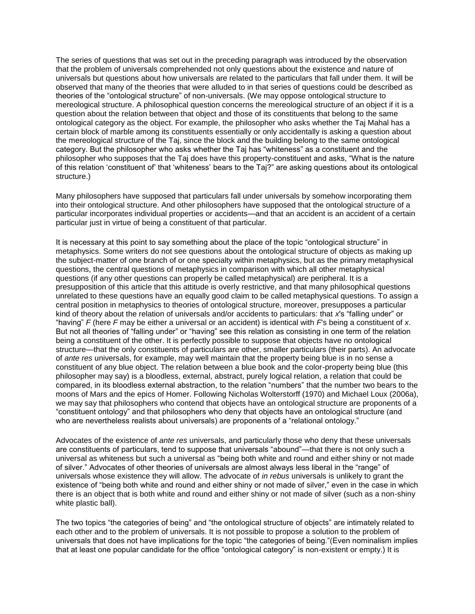The series of questions that was set out in the preceding paragraph was introduced by the observation that the problem of universals comprehended not only questions about the existence and nature of universals but questions about how universals are related to the particulars that fall under them. It will be observed that many of the theories that were alluded to in that series of questions could be described as theories of the "ontological structure" of non-universals. (We may oppose ontological structure to mereological structure. A philosophical question concerns the mereological structure of an object if it is a question about the relation between that object and those of its constituents that belong to the same ontological category as the object. For example, the philosopher who asks whether the Taj Mahal has a certain block of marble among its constituents essentially or only accidentally is asking a question about the mereological structure of the Taj, since the block and the building belong to the same ontological category. But the philosopher who asks whether the Taj has "whiteness" as a constituent and the philosopher who supposes that the Taj does have this property-constituent and asks, "What is the nature of this relation 'constituent of' that 'whiteness' bears to the Taj?" are asking questions about its ontological structure.)

Many philosophers have supposed that particulars fall under universals by somehow incorporating them into their ontological structure. And other philosophers have supposed that the ontological structure of a particular incorporates individual properties or accidents—and that an accident is an accident of a certain particular just in virtue of being a constituent of that particular.

It is necessary at this point to say something about the place of the topic "ontological structure" in metaphysics. Some writers do not see questions about the ontological structure of objects as making up the subject-matter of one branch of or one specialty within metaphysics, but as the primary metaphysical questions, the central questions of metaphysics in comparison with which all other metaphysical questions (if any other questions can properly be called metaphysical) are peripheral. It is a presupposition of this article that this attitude is overly restrictive, and that many philosophical questions unrelated to these questions have an equally good claim to be called metaphysical questions. To assign a central position in metaphysics to theories of ontological structure, moreover, presupposes a particular kind of theory about the relation of universals and/or accidents to particulars: that *x*'s "falling under" or "having" *F* (here *F* may be either a universal or an accident) is identical with *F*'s being a constituent of *x*. But not all theories of "falling under" or "having" see this relation as consisting in one term of the relation being a constituent of the other. It is perfectly possible to suppose that objects have no ontological structure—that the only constituents of particulars are other, smaller particulars (their parts). An advocate of *ante res* universals, for example, may well maintain that the property being blue is in no sense a constituent of any blue object. The relation between a blue book and the color-property being blue (this philosopher may say) is a bloodless, external, abstract, purely logical relation, a relation that could be compared, in its bloodless external abstraction, to the relation "numbers" that the number two bears to the moons of Mars and the epics of Homer. Following Nicholas Wolterstorff (1970) and Michael Loux (2006a), we may say that philosophers who contend that objects have an ontological structure are proponents of a "constituent ontology" and that philosophers who deny that objects have an ontological structure (and who are nevertheless realists about universals) are proponents of a "relational ontology."

Advocates of the existence of *ante res* universals, and particularly those who deny that these universals are constituents of particulars, tend to suppose that universals "abound"—that there is not only such a universal as whiteness but such a universal as "being both white and round and either shiny or not made of silver." Advocates of other theories of universals are almost always less liberal in the "range" of universals whose existence they will allow. The advocate of *in rebus* universals is unlikely to grant the existence of "being both white and round and either shiny or not made of silver," even in the case in which there is an object that is both white and round and either shiny or not made of silver (such as a non-shiny white plastic ball).

The two topics "the categories of being" and "the ontological structure of objects" are intimately related to each other and to the problem of universals. It is not possible to propose a solution to the problem of universals that does not have implications for the topic "the categories of being."(Even nominalism implies that at least one popular candidate for the office "ontological category" is non-existent or empty.) It is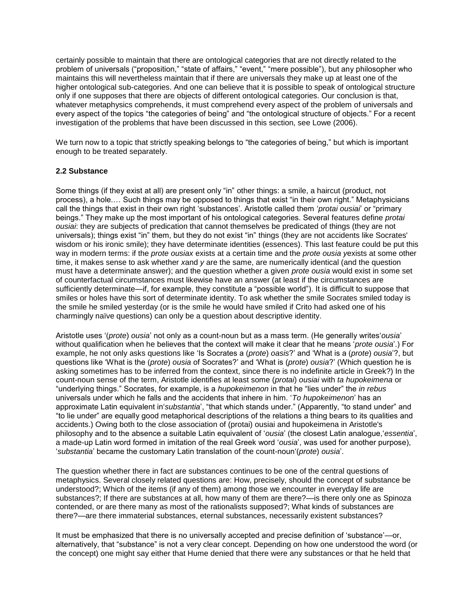certainly possible to maintain that there are ontological categories that are not directly related to the problem of universals ("proposition," "state of affairs," "event," "mere possible"), but any philosopher who maintains this will nevertheless maintain that if there are universals they make up at least one of the higher ontological sub-categories. And one can believe that it is possible to speak of ontological structure only if one supposes that there are objects of different ontological categories. Our conclusion is that, whatever metaphysics comprehends, it must comprehend every aspect of the problem of universals and every aspect of the topics "the categories of being" and "the ontological structure of objects." For a recent investigation of the problems that have been discussed in this section, see Lowe (2006).

We turn now to a topic that strictly speaking belongs to "the categories of being," but which is important enough to be treated separately.

#### **2.2 Substance**

Some things (if they exist at all) are present only "in" other things: a smile, a haircut (product, not process), a hole.… Such things may be opposed to things that exist "in their own right." Metaphysicians call the things that exist in their own right 'substances'. Aristotle called them '*protai ousiai*' or "primary beings." They make up the most important of his ontological categories. Several features define *protai ousiai*: they are subjects of predication that cannot themselves be predicated of things (they are not universals); things exist "in" them, but they do not exist "in" things (they are not accidents like Socrates' wisdom or his ironic smile); they have determinate identities (essences). This last feature could be put this way in modern terms: if the *prote ousiax* exists at a certain time and the *prote ousia y*exists at some other time, it makes sense to ask whether *x*and *y* are the same, are numerically identical (and the question must have a determinate answer); and the question whether a given *prote ousia* would exist in some set of counterfactual circumstances must likewise have an answer (at least if the circumstances are sufficiently determinate—if, for example, they constitute a "possible world"). It is difficult to suppose that smiles or holes have this sort of determinate identity. To ask whether the smile Socrates smiled today is the smile he smiled yesterday (or is the smile he would have smiled if Crito had asked one of his charmingly naïve questions) can only be a question about descriptive identity.

Aristotle uses '(*prote*) *ousia*' not only as a count-noun but as a mass term. (He generally writes'*ousia*' without qualification when he believes that the context will make it clear that he means '*prote ousia*'.) For example, he not only asks questions like 'Is Socrates a (*prote*) *oasis*?' and 'What is a (*prote*) *ousia*'?, but questions like 'What is the (*prote*) *ousia* of Socrates?' and 'What is (*prote*) *ousia*?' (Which question he is asking sometimes has to be inferred from the context, since there is no indefinite article in Greek?) In the count-noun sense of the term, Aristotle identifies at least some (*protai*) *ousiai* with *ta hupokeimena* or "underlying things." Socrates, for example, is a *hupokeimenon* in that he "lies under" the *in rebus* universals under which he falls and the accidents that inhere in him. '*To hupokeimenon*' has an approximate Latin equivalent in'*substantia*', "that which stands under." (Apparently, "to stand under" and "to lie under" are equally good metaphorical descriptions of the relations a thing bears to its qualities and accidents.) Owing both to the close association of (protai) ousiai and hupokeimena in Aristotle's philosophy and to the absence a suitable Latin equivalent of '*ousia*' (the closest Latin analogue,'*essentia*', a made-up Latin word formed in imitation of the real Greek word '*ousia*', was used for another purpose), '*substantia*' became the customary Latin translation of the count-noun'(*prote*) *ousia*'.

The question whether there in fact are substances continues to be one of the central questions of metaphysics. Several closely related questions are: How, precisely, should the concept of substance be understood?; Which of the items (if any of them) among those we encounter in everyday life are substances?; If there are substances at all, how many of them are there?—is there only one as Spinoza contended, or are there many as most of the rationalists supposed?; What kinds of substances are there?—are there immaterial substances, eternal substances, necessarily existent substances?

It must be emphasized that there is no universally accepted and precise definition of 'substance'—or, alternatively, that "substance" is not a very clear concept. Depending on how one understood the word (or the concept) one might say either that Hume denied that there were any substances or that he held that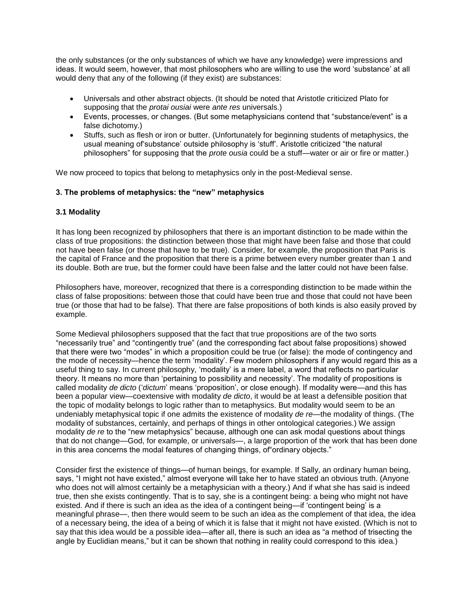the only substances (or the only substances of which we have any knowledge) were impressions and ideas. It would seem, however, that most philosophers who are willing to use the word 'substance' at all would deny that any of the following (if they exist) are substances:

- Universals and other abstract objects. (It should be noted that Aristotle criticized Plato for supposing that the *protai ousiai* were *ante res* universals.)
- Events, processes, or changes. (But some metaphysicians contend that "substance/event" is a false dichotomy.)
- Stuffs, such as flesh or iron or butter. (Unfortunately for beginning students of metaphysics, the usual meaning of'substance' outside philosophy is 'stuff'. Aristotle criticized "the natural philosophers" for supposing that the *prote ousia* could be a stuff—water or air or fire or matter.)

We now proceed to topics that belong to metaphysics only in the post-Medieval sense.

#### **3. The problems of metaphysics: the "new" metaphysics**

#### **3.1 Modality**

It has long been recognized by philosophers that there is an important distinction to be made within the class of true propositions: the distinction between those that might have been false and those that could not have been false (or those that have to be true). Consider, for example, the proposition that Paris is the capital of France and the proposition that there is a prime between every number greater than 1 and its double. Both are true, but the former could have been false and the latter could not have been false.

Philosophers have, moreover, recognized that there is a corresponding distinction to be made within the class of false propositions: between those that could have been true and those that could not have been true (or those that had to be false). That there are false propositions of both kinds is also easily proved by example.

Some Medieval philosophers supposed that the fact that true propositions are of the two sorts "necessarily true" and "contingently true" (and the corresponding fact about false propositions) showed that there were two "modes" in which a proposition could be true (or false): the mode of contingency and the mode of necessity—hence the term 'modality'. Few modern philosophers if any would regard this as a useful thing to say. In current philosophy, 'modality' is a mere label, a word that reflects no particular theory. It means no more than 'pertaining to possibility and necessity'. The modality of propositions is called modality *de dicto* ('*dictum*' means 'proposition', or close enough). If modality were—and this has been a popular view—coextensive with modality *de dicto*, it would be at least a defensible position that the topic of modality belongs to logic rather than to metaphysics. But modality would seem to be an undeniably metaphysical topic if one admits the existence of modality *de re*—the modality of things. (The modality of substances, certainly, and perhaps of things in other ontological categories.) We assign modality *de re* to the "new metaphysics" because, although one can ask modal questions about things that do not change—God, for example, or universals—, a large proportion of the work that has been done in this area concerns the modal features of changing things, of"ordinary objects."

Consider first the existence of things—of human beings, for example. If Sally, an ordinary human being, says, "I might not have existed," almost everyone will take her to have stated an obvious truth. (Anyone who does not will almost certainly be a metaphysician with a theory.) And if what she has said is indeed true, then she exists contingently. That is to say, she is a contingent being: a being who might not have existed. And if there is such an idea as the idea of a contingent being—if 'contingent being' is a meaningful phrase—, then there would seem to be such an idea as the complement of that idea, the idea of a necessary being, the idea of a being of which it is false that it might not have existed. (Which is not to say that this idea would be a possible idea—after all, there is such an idea as "a method of trisecting the angle by Euclidian means," but it can be shown that nothing in reality could correspond to this idea.)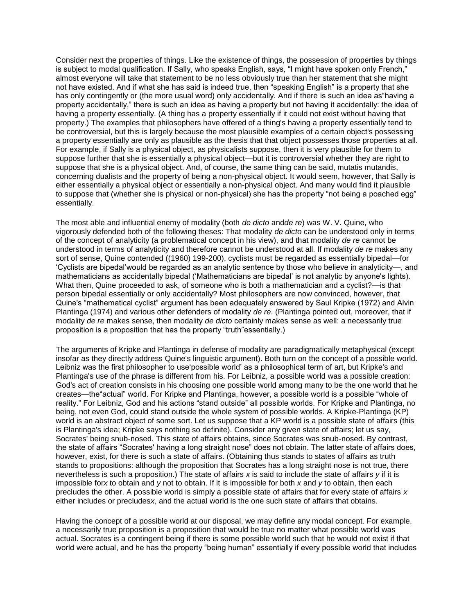Consider next the properties of things. Like the existence of things, the possession of properties by things is subject to modal qualification. If Sally, who speaks English, says, "I might have spoken only French," almost everyone will take that statement to be no less obviously true than her statement that she might not have existed. And if what she has said is indeed true, then "speaking English" is a property that she has only contingently or (the more usual word) only accidentally. And if there is such an idea as"having a property accidentally," there is such an idea as having a property but not having it accidentally: the idea of having a property essentially. (A thing has a property essentially if it could not exist without having that property.) The examples that philosophers have offered of a thing's having a property essentially tend to be controversial, but this is largely because the most plausible examples of a certain object's possessing a property essentially are only as plausible as the thesis that that object possesses those properties at all. For example, if Sally is a physical object, as physicalists suppose, then it is very plausible for them to suppose further that she is essentially a physical object—but it is controversial whether they are right to suppose that she is a physical object. And, of course, the same thing can be said, mutatis mutandis, concerning dualists and the property of being a non-physical object. It would seem, however, that Sally is either essentially a physical object or essentially a non-physical object. And many would find it plausible to suppose that (whether she is physical or non-physical) she has the property "not being a poached egg" essentially.

The most able and influential enemy of modality (both *de dicto* and*de re*) was W. V. Quine, who vigorously defended both of the following theses: That modality *de dicto* can be understood only in terms of the concept of analyticity (a problematical concept in his view), and that modality *de re* cannot be understood in terms of analyticity and therefore cannot be understood at all. If modality *de re* makes any sort of sense, Quine contended ((1960) 199-200), cyclists must be regarded as essentially bipedal—for 'Cyclists are bipedal'would be regarded as an analytic sentence by those who believe in analyticity—, and mathematicians as accidentally bipedal ('Mathematicians are bipedal' is not analytic by anyone's lights). What then, Quine proceeded to ask, of someone who is both a mathematician and a cyclist?—is that person bipedal essentially or only accidentally? Most philosophers are now convinced, however, that Quine's "mathematical cyclist" argument has been adequately answered by Saul Kripke (1972) and Alvin Plantinga (1974) and various other defenders of modality *de re*. (Plantinga pointed out, moreover, that if modality *de re* makes sense, then modality *de dicto* certainly makes sense as well: a necessarily true proposition is a proposition that has the property "truth"essentially.)

The arguments of Kripke and Plantinga in defense of modality are paradigmatically metaphysical (except insofar as they directly address Quine's linguistic argument). Both turn on the concept of a possible world. Leibniz was the first philosopher to use'possible world' as a philosophical term of art, but Kripke's and Plantinga's use of the phrase is different from his. For Leibniz, a possible world was a possible creation: God's act of creation consists in his choosing one possible world among many to be the one world that he creates—the"actual" world. For Kripke and Plantinga, however, a possible world is a possible "whole of reality." For Leibniz, God and his actions "stand outside" all possible worlds. For Kripke and Plantinga, no being, not even God, could stand outside the whole system of possible worlds. A Kripke-Plantinga (KP) world is an abstract object of some sort. Let us suppose that a KP world is a possible state of affairs (this is Plantinga's idea; Kripke says nothing so definite). Consider any given state of affairs; let us say, Socrates' being snub-nosed. This state of affairs obtains, since Socrates was snub-nosed. By contrast, the state of affairs "Socrates' having a long straight nose" does not obtain. The latter state of affairs does, however, exist, for there is such a state of affairs. (Obtaining thus stands to states of affairs as truth stands to propositions: although the proposition that Socrates has a long straight nose is not true, there nevertheless is such a proposition.) The state of affairs *x* is said to include the state of affairs *y* if it is impossible for*x* to obtain and *y* not to obtain. If it is impossible for both *x* and *y* to obtain, then each precludes the other. A possible world is simply a possible state of affairs that for every state of affairs *x* either includes or precludes*x*, and the actual world is the one such state of affairs that obtains.

Having the concept of a possible world at our disposal, we may define any modal concept. For example, a necessarily true proposition is a proposition that would be true no matter what possible world was actual. Socrates is a contingent being if there is some possible world such that he would not exist if that world were actual, and he has the property "being human" essentially if every possible world that includes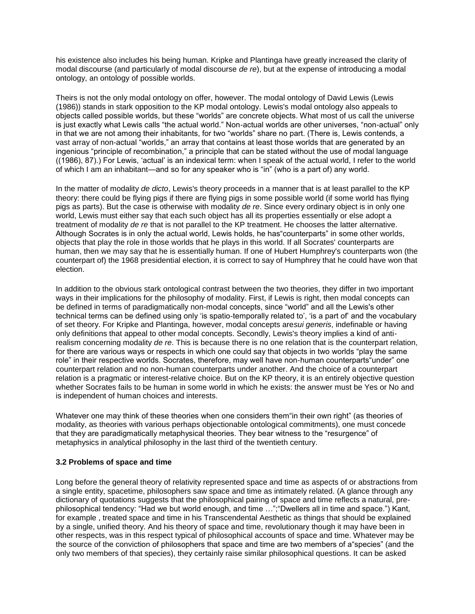his existence also includes his being human. Kripke and Plantinga have greatly increased the clarity of modal discourse (and particularly of modal discourse *de re*), but at the expense of introducing a modal ontology, an ontology of possible worlds.

Theirs is not the only modal ontology on offer, however. The modal ontology of David Lewis (Lewis (1986)) stands in stark opposition to the KP modal ontology. Lewis's modal ontology also appeals to objects called possible worlds, but these "worlds" are concrete objects. What most of us call the universe is just exactly what Lewis calls "the actual world." Non-actual worlds are other universes, "non-actual" only in that we are not among their inhabitants, for two "worlds" share no part. (There is, Lewis contends, a vast array of non-actual "worlds," an array that contains at least those worlds that are generated by an ingenious "principle of recombination," a principle that can be stated without the use of modal language ((1986), 87).) For Lewis, 'actual' is an indexical term: when I speak of the actual world, I refer to the world of which I am an inhabitant—and so for any speaker who is "in" (who is a part of) any world.

In the matter of modality *de dicto*, Lewis's theory proceeds in a manner that is at least parallel to the KP theory: there could be flying pigs if there are flying pigs in some possible world (if some world has flying pigs as parts). But the case is otherwise with modality *de re*. Since every ordinary object is in only one world, Lewis must either say that each such object has all its properties essentially or else adopt a treatment of modality *de re* that is not parallel to the KP treatment. He chooses the latter alternative. Although Socrates is in only the actual world, Lewis holds, he has"counterparts" in some other worlds, objects that play the role in those worlds that he plays in this world. If all Socrates' counterparts are human, then we may say that he is essentially human. If one of Hubert Humphrey's counterparts won (the counterpart of) the 1968 presidential election, it is correct to say of Humphrey that he could have won that election.

In addition to the obvious stark ontological contrast between the two theories, they differ in two important ways in their implications for the philosophy of modality. First, if Lewis is right, then modal concepts can be defined in terms of paradigmatically non-modal concepts, since "world" and all the Lewis's other technical terms can be defined using only 'is spatio-temporally related to', 'is a part of' and the vocabulary of set theory. For Kripke and Plantinga, however, modal concepts are*sui generis*, indefinable or having only definitions that appeal to other modal concepts. Secondly, Lewis's theory implies a kind of antirealism concerning modality *de re*. This is because there is no one relation that is the counterpart relation, for there are various ways or respects in which one could say that objects in two worlds "play the same role" in their respective worlds. Socrates, therefore, may well have non-human counterparts"under" one counterpart relation and no non-human counterparts under another. And the choice of a counterpart relation is a pragmatic or interest-relative choice. But on the KP theory, it is an entirely objective question whether Socrates fails to be human in some world in which he exists: the answer must be Yes or No and is independent of human choices and interests.

Whatever one may think of these theories when one considers them in their own right" (as theories of modality, as theories with various perhaps objectionable ontological commitments), one must concede that they are paradigmatically metaphysical theories. They bear witness to the "resurgence" of metaphysics in analytical philosophy in the last third of the twentieth century.

#### **3.2 Problems of space and time**

Long before the general theory of relativity represented space and time as aspects of or abstractions from a single entity, spacetime, philosophers saw space and time as intimately related. (A glance through any dictionary of quotations suggests that the philosophical pairing of space and time reflects a natural, prephilosophical tendency: "Had we but world enough, and time ..."; "Dwellers all in time and space.") Kant, for example , treated space and time in his Transcendental Aesthetic as things that should be explained by a single, unified theory. And his theory of space and time, revolutionary though it may have been in other respects, was in this respect typical of philosophical accounts of space and time. Whatever may be the source of the conviction of philosophers that space and time are two members of a"species" (and the only two members of that species), they certainly raise similar philosophical questions. It can be asked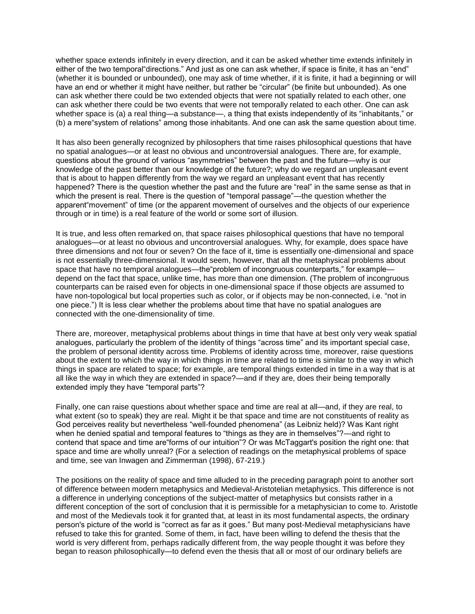whether space extends infinitely in every direction, and it can be asked whether time extends infinitely in either of the two temporal"directions." And just as one can ask whether, if space is finite, it has an "end" (whether it is bounded or unbounded), one may ask of time whether, if it is finite, it had a beginning or will have an end or whether it might have neither, but rather be "circular" (be finite but unbounded). As one can ask whether there could be two extended objects that were not spatially related to each other, one can ask whether there could be two events that were not temporally related to each other. One can ask whether space is (a) a real thing—a substance—, a thing that exists independently of its "inhabitants," or (b) a mere"system of relations" among those inhabitants. And one can ask the same question about time.

It has also been generally recognized by philosophers that time raises philosophical questions that have no spatial analogues—or at least no obvious and uncontroversial analogues. There are, for example, questions about the ground of various "asymmetries" between the past and the future—why is our knowledge of the past better than our knowledge of the future?; why do we regard an unpleasant event that is about to happen differently from the way we regard an unpleasant event that has recently happened? There is the question whether the past and the future are "real" in the same sense as that in which the present is real. There is the question of "temporal passage"—the question whether the apparent"movement" of time (or the apparent movement of ourselves and the objects of our experience through or in time) is a real feature of the world or some sort of illusion.

It is true, and less often remarked on, that space raises philosophical questions that have no temporal analogues—or at least no obvious and uncontroversial analogues. Why, for example, does space have three dimensions and not four or seven? On the face of it, time is essentially one-dimensional and space is not essentially three-dimensional. It would seem, however, that all the metaphysical problems about space that have no temporal analogues—the"problem of incongruous counterparts," for example depend on the fact that space, unlike time, has more than one dimension. (The problem of incongruous counterparts can be raised even for objects in one-dimensional space if those objects are assumed to have non-topological but local properties such as color, or if objects may be non-connected, i.e. "not in one piece.") It is less clear whether the problems about time that have no spatial analogues are connected with the one-dimensionality of time.

There are, moreover, metaphysical problems about things in time that have at best only very weak spatial analogues, particularly the problem of the identity of things "across time" and its important special case, the problem of personal identity across time. Problems of identity across time, moreover, raise questions about the extent to which the way in which things in time are related to time is similar to the way in which things in space are related to space; for example, are temporal things extended in time in a way that is at all like the way in which they are extended in space?—and if they are, does their being temporally extended imply they have "temporal parts"?

Finally, one can raise questions about whether space and time are real at all—and, if they are real, to what extent (so to speak) they are real. Might it be that space and time are not constituents of reality as God perceives reality but nevertheless "well-founded phenomena" (as Leibniz held)? Was Kant right when he denied spatial and temporal features to "things as they are in themselves"?—and right to contend that space and time are"forms of our intuition"? Or was McTaggart's position the right one: that space and time are wholly unreal? (For a selection of readings on the metaphysical problems of space and time, see van Inwagen and Zimmerman (1998), 67-219.)

The positions on the reality of space and time alluded to in the preceding paragraph point to another sort of difference between modern metaphysics and Medieval-Aristotelian metaphysics. This difference is not a difference in underlying conceptions of the subject-matter of metaphysics but consists rather in a different conception of the sort of conclusion that it is permissible for a metaphysician to come to. Aristotle and most of the Medievals took it for granted that, at least in its most fundamental aspects, the ordinary person's picture of the world is "correct as far as it goes." But many post-Medieval metaphysicians have refused to take this for granted. Some of them, in fact, have been willing to defend the thesis that the world is very different from, perhaps radically different from, the way people thought it was before they began to reason philosophically—to defend even the thesis that all or most of our ordinary beliefs are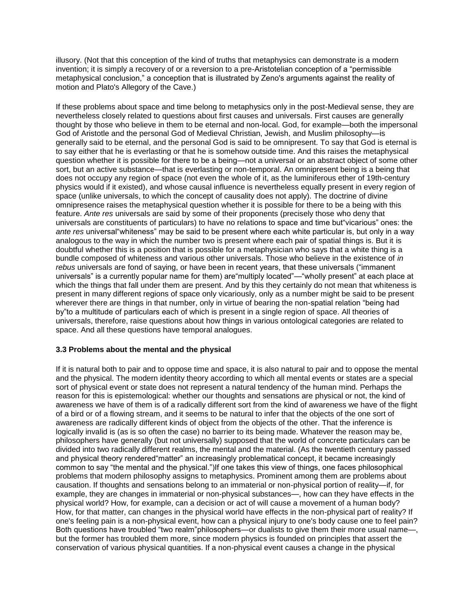illusory. (Not that this conception of the kind of truths that metaphysics can demonstrate is a modern invention; it is simply a recovery of or a reversion to a pre-Aristotelian conception of a "permissible metaphysical conclusion," a conception that is illustrated by Zeno's arguments against the reality of motion and Plato's Allegory of the Cave.)

If these problems about space and time belong to metaphysics only in the post-Medieval sense, they are nevertheless closely related to questions about first causes and universals. First causes are generally thought by those who believe in them to be eternal and non-local. God, for example—both the impersonal God of Aristotle and the personal God of Medieval Christian, Jewish, and Muslim philosophy—is generally said to be eternal, and the personal God is said to be omnipresent. To say that God is eternal is to say either that he is everlasting or that he is somehow outside time. And this raises the metaphysical question whether it is possible for there to be a being—not a universal or an abstract object of some other sort, but an active substance—that is everlasting or non-temporal. An omnipresent being is a being that does not occupy any region of space (not even the whole of it, as the luminiferous ether of 19th-century physics would if it existed), and whose causal influence is nevertheless equally present in every region of space (unlike universals, to which the concept of causality does not apply). The doctrine of divine omnipresence raises the metaphysical question whether it is possible for there to be a being with this feature. *Ante res* universals are said by some of their proponents (precisely those who deny that universals are constituents of particulars) to have no relations to space and time but"vicarious" ones: the *ante res* universal"whiteness" may be said to be present where each white particular is, but only in a way analogous to the way in which the number two is present where each pair of spatial things is. But it is doubtful whether this is a position that is possible for a metaphysician who says that a white thing is a bundle composed of whiteness and various other universals. Those who believe in the existence of *in rebus* universals are fond of saying, or have been in recent years, that these universals ("immanent universals" is a currently popular name for them) are"multiply located"—"wholly present" at each place at which the things that fall under them are present. And by this they certainly do not mean that whiteness is present in many different regions of space only vicariously, only as a number might be said to be present wherever there are things in that number, only in virtue of bearing the non-spatial relation "being had by"to a multitude of particulars each of which is present in a single region of space. All theories of universals, therefore, raise questions about how things in various ontological categories are related to space. And all these questions have temporal analogues.

## **3.3 Problems about the mental and the physical**

If it is natural both to pair and to oppose time and space, it is also natural to pair and to oppose the mental and the physical. The modern identity theory according to which all mental events or states are a special sort of physical event or state does not represent a natural tendency of the human mind. Perhaps the reason for this is epistemological: whether our thoughts and sensations are physical or not, the kind of awareness we have of them is of a radically different sort from the kind of awareness we have of the flight of a bird or of a flowing stream, and it seems to be natural to infer that the objects of the one sort of awareness are radically different kinds of object from the objects of the other. That the inference is logically invalid is (as is so often the case) no barrier to its being made. Whatever the reason may be, philosophers have generally (but not universally) supposed that the world of concrete particulars can be divided into two radically different realms, the mental and the material. (As the twentieth century passed and physical theory rendered"matter" an increasingly problematical concept, it became increasingly common to say "the mental and the physical.")If one takes this view of things, one faces philosophical problems that modern philosophy assigns to metaphysics. Prominent among them are problems about causation. If thoughts and sensations belong to an immaterial or non-physical portion of reality—if, for example, they are changes in immaterial or non-physical substances—, how can they have effects in the physical world? How, for example, can a decision or act of will cause a movement of a human body? How, for that matter, can changes in the physical world have effects in the non-physical part of reality? If one's feeling pain is a non-physical event, how can a physical injury to one's body cause one to feel pain? Both questions have troubled "two realm"philosophers—or dualists to give them their more usual name—, but the former has troubled them more, since modern physics is founded on principles that assert the conservation of various physical quantities. If a non-physical event causes a change in the physical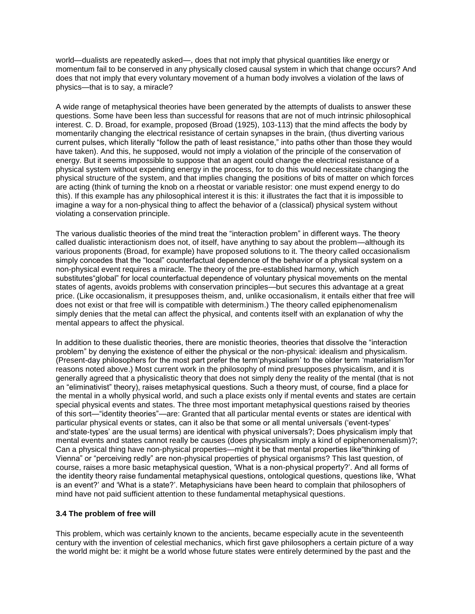world—dualists are repeatedly asked—, does that not imply that physical quantities like energy or momentum fail to be conserved in any physically closed causal system in which that change occurs? And does that not imply that every voluntary movement of a human body involves a violation of the laws of physics—that is to say, a miracle?

A wide range of metaphysical theories have been generated by the attempts of dualists to answer these questions. Some have been less than successful for reasons that are not of much intrinsic philosophical interest. C. D. Broad, for example, proposed (Broad (1925), 103-113) that the mind affects the body by momentarily changing the electrical resistance of certain synapses in the brain, (thus diverting various current pulses, which literally "follow the path of least resistance," into paths other than those they would have taken). And this, he supposed, would not imply a violation of the principle of the conservation of energy. But it seems impossible to suppose that an agent could change the electrical resistance of a physical system without expending energy in the process, for to do this would necessitate changing the physical structure of the system, and that implies changing the positions of bits of matter on which forces are acting (think of turning the knob on a rheostat or variable resistor: one must expend energy to do this). If this example has any philosophical interest it is this: it illustrates the fact that it is impossible to imagine a way for a non-physical thing to affect the behavior of a (classical) physical system without violating a conservation principle.

The various dualistic theories of the mind treat the "interaction problem" in different ways. The theory called dualistic interactionism does not, of itself, have anything to say about the problem—although its various proponents (Broad, for example) have proposed solutions to it. The theory called occasionalism simply concedes that the "local" counterfactual dependence of the behavior of a physical system on a non-physical event requires a miracle. The theory of the pre-established harmony, which substitutes"global" for local counterfactual dependence of voluntary physical movements on the mental states of agents, avoids problems with conservation principles—but secures this advantage at a great price. (Like occasionalism, it presupposes theism, and, unlike occasionalism, it entails either that free will does not exist or that free will is compatible with determinism.) The theory called epiphenomenalism simply denies that the metal can affect the physical, and contents itself with an explanation of why the mental appears to affect the physical.

In addition to these dualistic theories, there are monistic theories, theories that dissolve the "interaction problem" by denying the existence of either the physical or the non-physical: idealism and physicalism. (Present-day philosophers for the most part prefer the term'physicalism' to the older term 'materialism'for reasons noted above.) Most current work in the philosophy of mind presupposes physicalism, and it is generally agreed that a physicalistic theory that does not simply deny the reality of the mental (that is not an "eliminativist" theory), raises metaphysical questions. Such a theory must, of course, find a place for the mental in a wholly physical world, and such a place exists only if mental events and states are certain special physical events and states. The three most important metaphysical questions raised by theories of this sort—"identity theories"—are: Granted that all particular mental events or states are identical with particular physical events or states, can it also be that some or all mental universals ('event-types' and'state-types' are the usual terms) are identical with physical universals?; Does physicalism imply that mental events and states cannot really be causes (does physicalism imply a kind of epiphenomenalism)?; Can a physical thing have non-physical properties—might it be that mental properties like"thinking of Vienna" or "perceiving redly" are non-physical properties of physical organisms? This last question, of course, raises a more basic metaphysical question, 'What is a non-physical property?'. And all forms of the identity theory raise fundamental metaphysical questions, ontological questions, questions like, 'What is an event?' and 'What is a state?'. Metaphysicians have been heard to complain that philosophers of mind have not paid sufficient attention to these fundamental metaphysical questions.

#### **3.4 The problem of free will**

This problem, which was certainly known to the ancients, became especially acute in the seventeenth century with the invention of celestial mechanics, which first gave philosophers a certain picture of a way the world might be: it might be a world whose future states were entirely determined by the past and the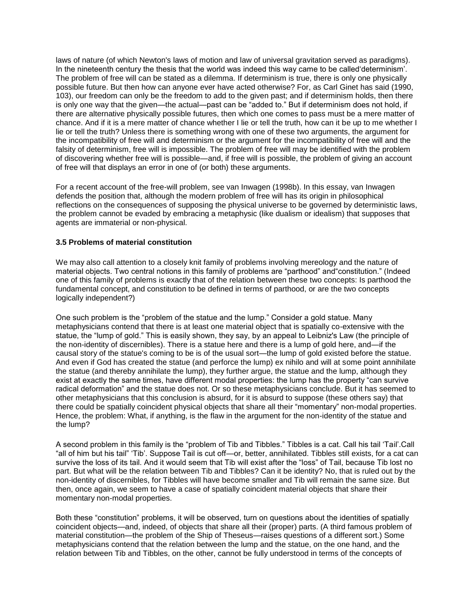laws of nature (of which Newton's laws of motion and law of universal gravitation served as paradigms). In the nineteenth century the thesis that the world was indeed this way came to be called'determinism'. The problem of free will can be stated as a dilemma. If determinism is true, there is only one physically possible future. But then how can anyone ever have acted otherwise? For, as Carl Ginet has said (1990, 103), our freedom can only be the freedom to add to the given past; and if determinism holds, then there is only one way that the given—the actual—past can be "added to." But if determinism does not hold, if there are alternative physically possible futures, then which one comes to pass must be a mere matter of chance. And if it is a mere matter of chance whether I lie or tell the truth, how can it be up to me whether I lie or tell the truth? Unless there is something wrong with one of these two arguments, the argument for the incompatibility of free will and determinism or the argument for the incompatibility of free will and the falsity of determinism, free will is impossible. The problem of free will may be identified with the problem of discovering whether free will is possible—and, if free will is possible, the problem of giving an account of free will that displays an error in one of (or both) these arguments.

For a recent account of the free-will problem, see van Inwagen (1998b). In this essay, van Inwagen defends the position that, although the modern problem of free will has its origin in philosophical reflections on the consequences of supposing the physical universe to be governed by deterministic laws, the problem cannot be evaded by embracing a metaphysic (like dualism or idealism) that supposes that agents are immaterial or non-physical.

## **3.5 Problems of material constitution**

We may also call attention to a closely knit family of problems involving mereology and the nature of material objects. Two central notions in this family of problems are "parthood" and"constitution." (Indeed one of this family of problems is exactly that of the relation between these two concepts: Is parthood the fundamental concept, and constitution to be defined in terms of parthood, or are the two concepts logically independent?)

One such problem is the "problem of the statue and the lump." Consider a gold statue. Many metaphysicians contend that there is at least one material object that is spatially co-extensive with the statue, the "lump of gold." This is easily shown, they say, by an appeal to Leibniz's Law (the principle of the non-identity of discernibles). There is a statue here and there is a lump of gold here, and—if the causal story of the statue's coming to be is of the usual sort—the lump of gold existed before the statue. And even if God has created the statue (and perforce the lump) ex nihilo and will at some point annihilate the statue (and thereby annihilate the lump), they further argue, the statue and the lump, although they exist at exactly the same times, have different modal properties: the lump has the property "can survive radical deformation" and the statue does not. Or so these metaphysicians conclude. But it has seemed to other metaphysicians that this conclusion is absurd, for it is absurd to suppose (these others say) that there could be spatially coincident physical objects that share all their "momentary" non-modal properties. Hence, the problem: What, if anything, is the flaw in the argument for the non-identity of the statue and the lump?

A second problem in this family is the "problem of Tib and Tibbles." Tibbles is a cat. Call his tail 'Tail'.Call "all of him but his tail" 'Tib'. Suppose Tail is cut off—or, better, annihilated. Tibbles still exists, for a cat can survive the loss of its tail. And it would seem that Tib will exist after the "loss" of Tail, because Tib lost no part. But what will be the relation between Tib and Tibbles? Can it be identity? No, that is ruled out by the non-identity of discernibles, for Tibbles will have become smaller and Tib will remain the same size. But then, once again, we seem to have a case of spatially coincident material objects that share their momentary non-modal properties.

Both these "constitution" problems, it will be observed, turn on questions about the identities of spatially coincident objects—and, indeed, of objects that share all their (proper) parts. (A third famous problem of material constitution—the problem of the Ship of Theseus—raises questions of a different sort.) Some metaphysicians contend that the relation between the lump and the statue, on the one hand, and the relation between Tib and Tibbles, on the other, cannot be fully understood in terms of the concepts of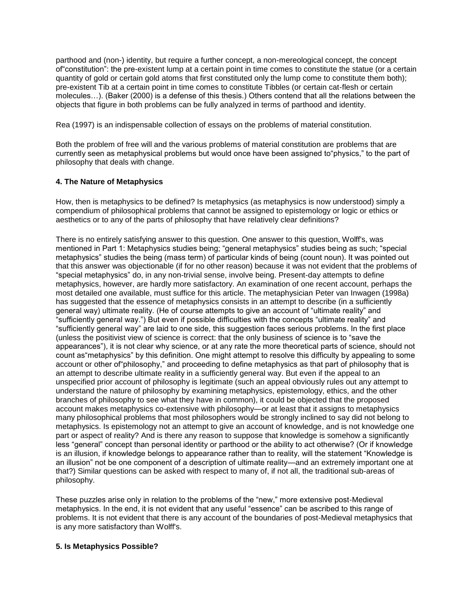parthood and (non-) identity, but require a further concept, a non-mereological concept, the concept of"constitution": the pre-existent lump at a certain point in time comes to constitute the statue (or a certain quantity of gold or certain gold atoms that first constituted only the lump come to constitute them both); pre-existent Tib at a certain point in time comes to constitute Tibbles (or certain cat-flesh or certain molecules…). (Baker (2000) is a defense of this thesis.) Others contend that all the relations between the objects that figure in both problems can be fully analyzed in terms of parthood and identity.

Rea (1997) is an indispensable collection of essays on the problems of material constitution.

Both the problem of free will and the various problems of material constitution are problems that are currently seen as metaphysical problems but would once have been assigned to"physics," to the part of philosophy that deals with change.

## **4. The Nature of Metaphysics**

How, then is metaphysics to be defined? Is metaphysics (as metaphysics is now understood) simply a compendium of philosophical problems that cannot be assigned to epistemology or logic or ethics or aesthetics or to any of the parts of philosophy that have relatively clear definitions?

There is no entirely satisfying answer to this question. One answer to this question, Wolff's, was mentioned in Part 1: Metaphysics studies being; "general metaphysics" studies being as such; "special metaphysics" studies the being (mass term) of particular kinds of being (count noun). It was pointed out that this answer was objectionable (if for no other reason) because it was not evident that the problems of "special metaphysics" do, in any non-trivial sense, involve being. Present-day attempts to define metaphysics, however, are hardly more satisfactory. An examination of one recent account, perhaps the most detailed one available, must suffice for this article. The metaphysician Peter van Inwagen (1998a) has suggested that the essence of metaphysics consists in an attempt to describe (in a sufficiently general way) ultimate reality. (He of course attempts to give an account of "ultimate reality" and "sufficiently general way.") But even if possible difficulties with the concepts "ultimate reality" and "sufficiently general way" are laid to one side, this suggestion faces serious problems. In the first place (unless the positivist view of science is correct: that the only business of science is to "save the appearances"), it is not clear why science, or at any rate the more theoretical parts of science, should not count as"metaphysics" by this definition. One might attempt to resolve this difficulty by appealing to some account or other of"philosophy," and proceeding to define metaphysics as that part of philosophy that is an attempt to describe ultimate reality in a sufficiently general way. But even if the appeal to an unspecified prior account of philosophy is legitimate (such an appeal obviously rules out any attempt to understand the nature of philosophy by examining metaphysics, epistemology, ethics, and the other branches of philosophy to see what they have in common), it could be objected that the proposed account makes metaphysics co-extensive with philosophy—or at least that it assigns to metaphysics many philosophical problems that most philosophers would be strongly inclined to say did not belong to metaphysics. Is epistemology not an attempt to give an account of knowledge, and is not knowledge one part or aspect of reality? And is there any reason to suppose that knowledge is somehow a significantly less "general" concept than personal identity or parthood or the ability to act otherwise? (Or if knowledge is an illusion, if knowledge belongs to appearance rather than to reality, will the statement "Knowledge is an illusion" not be one component of a description of ultimate reality—and an extremely important one at that?) Similar questions can be asked with respect to many of, if not all, the traditional sub-areas of philosophy.

These puzzles arise only in relation to the problems of the "new," more extensive post-Medieval metaphysics. In the end, it is not evident that any useful "essence" can be ascribed to this range of problems. It is not evident that there is any account of the boundaries of post-Medieval metaphysics that is any more satisfactory than Wolff's.

## **5. Is Metaphysics Possible?**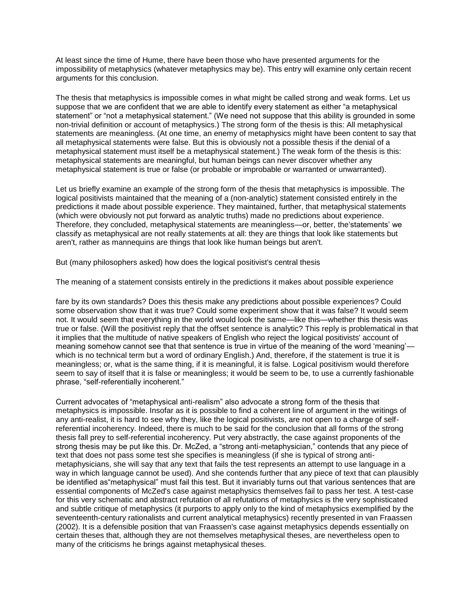At least since the time of Hume, there have been those who have presented arguments for the impossibility of metaphysics (whatever metaphysics may be). This entry will examine only certain recent arguments for this conclusion.

The thesis that metaphysics is impossible comes in what might be called strong and weak forms. Let us suppose that we are confident that we are able to identify every statement as either "a metaphysical statement" or "not a metaphysical statement." (We need not suppose that this ability is grounded in some non-trivial definition or account of metaphysics.) The strong form of the thesis is this: All metaphysical statements are meaningless. (At one time, an enemy of metaphysics might have been content to say that all metaphysical statements were false. But this is obviously not a possible thesis if the denial of a metaphysical statement must itself be a metaphysical statement.) The weak form of the thesis is this: metaphysical statements are meaningful, but human beings can never discover whether any metaphysical statement is true or false (or probable or improbable or warranted or unwarranted).

Let us briefly examine an example of the strong form of the thesis that metaphysics is impossible. The logical positivists maintained that the meaning of a (non-analytic) statement consisted entirely in the predictions it made about possible experience. They maintained, further, that metaphysical statements (which were obviously not put forward as analytic truths) made no predictions about experience. Therefore, they concluded, metaphysical statements are meaningless—or, better, the'statements' we classify as metaphysical are not really statements at all: they are things that look like statements but aren't, rather as mannequins are things that look like human beings but aren't.

But (many philosophers asked) how does the logical positivist's central thesis

The meaning of a statement consists entirely in the predictions it makes about possible experience

fare by its own standards? Does this thesis make any predictions about possible experiences? Could some observation show that it was true? Could some experiment show that it was false? It would seem not. It would seem that everything in the world would look the same—like this—whether this thesis was true or false. (Will the positivist reply that the offset sentence is analytic? This reply is problematical in that it implies that the multitude of native speakers of English who reject the logical positivists' account of meaning somehow cannot see that that sentence is true in virtue of the meaning of the word 'meaning'which is no technical term but a word of ordinary English.) And, therefore, if the statement is true it is meaningless; or, what is the same thing, if it is meaningful, it is false. Logical positivism would therefore seem to say of itself that it is false or meaningless; it would be seem to be, to use a currently fashionable phrase, "self-referentially incoherent."

Current advocates of "metaphysical anti-realism" also advocate a strong form of the thesis that metaphysics is impossible. Insofar as it is possible to find a coherent line of argument in the writings of any anti-realist, it is hard to see why they, like the logical positivists, are not open to a charge of selfreferential incoherency. Indeed, there is much to be said for the conclusion that all forms of the strong thesis fall prey to self-referential incoherency. Put very abstractly, the case against proponents of the strong thesis may be put like this. Dr. McZed, a "strong anti-metaphysician," contends that any piece of text that does not pass some test she specifies is meaningless (if she is typical of strong antimetaphysicians, she will say that any text that fails the test represents an attempt to use language in a way in which language cannot be used). And she contends further that any piece of text that can plausibly be identified as"metaphysical" must fail this test. But it invariably turns out that various sentences that are essential components of McZed's case against metaphysics themselves fail to pass her test. A test-case for this very schematic and abstract refutation of all refutations of metaphysics is the very sophisticated and subtle critique of metaphysics (it purports to apply only to the kind of metaphysics exemplified by the seventeenth-century rationalists and current analytical metaphysics) recently presented in van Fraassen (2002). It is a defensible position that van Fraassen's case against metaphysics depends essentially on certain theses that, although they are not themselves metaphysical theses, are nevertheless open to many of the criticisms he brings against metaphysical theses.